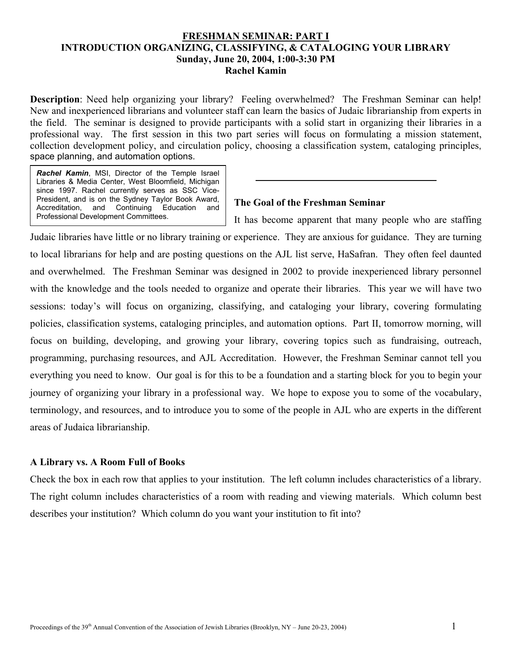### **FRESHMAN SEMINAR: PART I INTRODUCTION ORGANIZING, CLASSIFYING, & CATALOGING YOUR LIBRARY Sunday, June 20, 2004, 1:00-3:30 PM Rachel Kamin**

**Description**: Need help organizing your library? Feeling overwhelmed? The Freshman Seminar can help! New and inexperienced librarians and volunteer staff can learn the basics of Judaic librarianship from experts in the field. The seminar is designed to provide participants with a solid start in organizing their libraries in a professional way. The first session in this two part series will focus on formulating a mission statement, collection development policy, and circulation policy, choosing a classification system, cataloging principles, space planning, and automation options.

*Rachel Kamin*, MSI, Director of the Temple Israel Libraries & Media Center, West Bloomfield, Michigan since 1997. Rachel currently serves as SSC Vice-President, and is on the Sydney Taylor Book Award,<br>Accreditation, and Continuing Education and Accreditation, and Continuing Education and Professional Development Committees.

### **The Goal of the Freshman Seminar**

It has become apparent that many people who are staffing Judaic libraries have little or no library training or experience. They are anxious for guidance. They are turning to local librarians for help and are posting questions on the AJL list serve, HaSafran. They often feel daunted and overwhelmed. The Freshman Seminar was designed in 2002 to provide inexperienced library personnel with the knowledge and the tools needed to organize and operate their libraries. This year we will have two sessions: today's will focus on organizing, classifying, and cataloging your library, covering formulating policies, classification systems, cataloging principles, and automation options. Part II, tomorrow morning, will focus on building, developing, and growing your library, covering topics such as fundraising, outreach, programming, purchasing resources, and AJL Accreditation. However, the Freshman Seminar cannot tell you everything you need to know. Our goal is for this to be a foundation and a starting block for you to begin your journey of organizing your library in a professional way. We hope to expose you to some of the vocabulary, terminology, and resources, and to introduce you to some of the people in AJL who are experts in the different areas of Judaica librarianship.

### **A Library vs. A Room Full of Books**

Check the box in each row that applies to your institution. The left column includes characteristics of a library. The right column includes characteristics of a room with reading and viewing materials. Which column best describes your institution? Which column do you want your institution to fit into?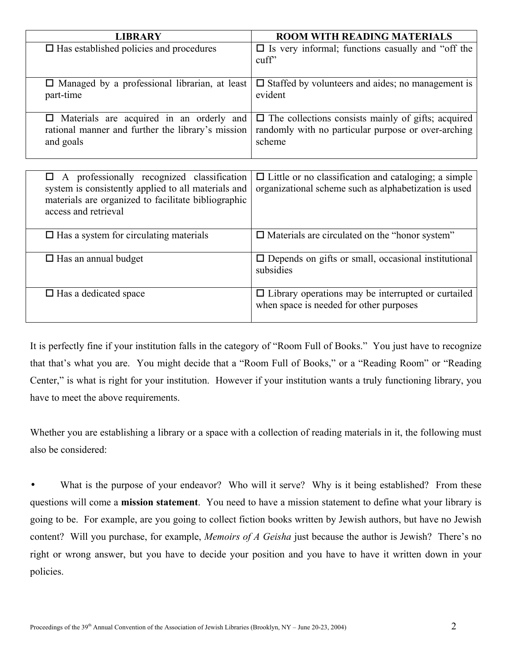| <b>LIBRARY</b>                                                                                                                                                                        | <b>ROOM WITH READING MATERIALS</b>                                                                                         |
|---------------------------------------------------------------------------------------------------------------------------------------------------------------------------------------|----------------------------------------------------------------------------------------------------------------------------|
| $\square$ Has established policies and procedures                                                                                                                                     | $\Box$ Is very informal; functions casually and "off the<br>$\text{cuff}$                                                  |
| $\Box$ Managed by a professional librarian, at least<br>part-time                                                                                                                     | $\Box$ Staffed by volunteers and aides; no management is<br>evident                                                        |
| Materials are acquired in an orderly and<br>□<br>rational manner and further the library's mission<br>and goals                                                                       | $\Box$ The collections consists mainly of gifts; acquired<br>randomly with no particular purpose or over-arching<br>scheme |
|                                                                                                                                                                                       |                                                                                                                            |
| A professionally recognized classification<br>0<br>system is consistently applied to all materials and<br>materials are organized to facilitate bibliographic<br>access and retrieval | $\Box$ Little or no classification and cataloging; a simple<br>organizational scheme such as alphabetization is used       |
| $\Box$ Has a system for circulating materials                                                                                                                                         | $\Box$ Materials are circulated on the "honor system"                                                                      |
| $\Box$ Has an annual budget                                                                                                                                                           | $\square$ Depends on gifts or small, occasional institutional<br>subsidies                                                 |
| $\Box$ Has a dedicated space                                                                                                                                                          | $\Box$ Library operations may be interrupted or curtailed<br>when space is needed for other purposes                       |

It is perfectly fine if your institution falls in the category of "Room Full of Books." You just have to recognize that that's what you are. You might decide that a "Room Full of Books," or a "Reading Room" or "Reading Center," is what is right for your institution. However if your institution wants a truly functioning library, you have to meet the above requirements.

Whether you are establishing a library or a space with a collection of reading materials in it, the following must also be considered:

• What is the purpose of your endeavor? Who will it serve? Why is it being established? From these questions will come a **mission statement**. You need to have a mission statement to define what your library is going to be. For example, are you going to collect fiction books written by Jewish authors, but have no Jewish content? Will you purchase, for example, *Memoirs of A Geisha* just because the author is Jewish? There's no right or wrong answer, but you have to decide your position and you have to have it written down in your policies.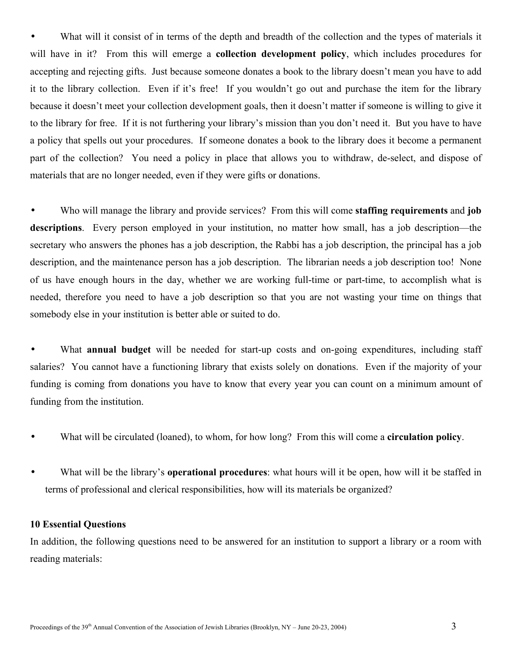• What will it consist of in terms of the depth and breadth of the collection and the types of materials it will have in it? From this will emerge a **collection development policy**, which includes procedures for accepting and rejecting gifts. Just because someone donates a book to the library doesn't mean you have to add it to the library collection. Even if it's free! If you wouldn't go out and purchase the item for the library because it doesn't meet your collection development goals, then it doesn't matter if someone is willing to give it to the library for free. If it is not furthering your library's mission than you don't need it. But you have to have a policy that spells out your procedures. If someone donates a book to the library does it become a permanent part of the collection? You need a policy in place that allows you to withdraw, de-select, and dispose of materials that are no longer needed, even if they were gifts or donations.

• Who will manage the library and provide services? From this will come **staffing requirements** and **job descriptions**. Every person employed in your institution, no matter how small, has a job description—the secretary who answers the phones has a job description, the Rabbi has a job description, the principal has a job description, and the maintenance person has a job description. The librarian needs a job description too! None of us have enough hours in the day, whether we are working full-time or part-time, to accomplish what is needed, therefore you need to have a job description so that you are not wasting your time on things that somebody else in your institution is better able or suited to do.

• What **annual budget** will be needed for start-up costs and on-going expenditures, including staff salaries? You cannot have a functioning library that exists solely on donations. Even if the majority of your funding is coming from donations you have to know that every year you can count on a minimum amount of funding from the institution.

- What will be circulated (loaned), to whom, for how long? From this will come a **circulation policy**.
- What will be the library's **operational procedures**: what hours will it be open, how will it be staffed in terms of professional and clerical responsibilities, how will its materials be organized?

### **10 Essential Questions**

In addition, the following questions need to be answered for an institution to support a library or a room with reading materials: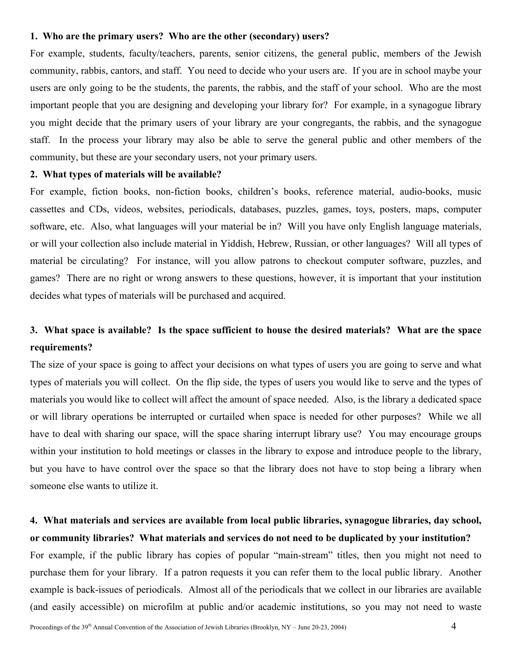### **1. Who are the primary users? Who are the other (secondary) users?**

For example, students, faculty/teachers, parents, senior citizens, the general public, members of the Jewish community, rabbis, cantors, and staff. You need to decide who your users are. If you are in school maybe your users are only going to be the students, the parents, the rabbis, and the staff of your school. Who are the most important people that you are designing and developing your library for? For example, in a synagogue library you might decide that the primary users of your library are your congregants, the rabbis, and the synagogue staff. In the process your library may also be able to serve the general public and other members of the community, but these are your secondary users, not your primary users.

### **2. What types of materials will be available?**

For example, fiction books, non-fiction books, children's books, reference material, audio-books, music cassettes and CDs, videos, websites, periodicals, databases, puzzles, games, toys, posters, maps, computer software, etc. Also, what languages will your material be in? Will you have only English language materials, or will your collection also include material in Yiddish, Hebrew, Russian, or other languages? Will all types of material be circulating? For instance, will you allow patrons to checkout computer software, puzzles, and games? There are no right or wrong answers to these questions, however, it is important that your institution decides what types of materials will be purchased and acquired.

## **3. What space is available? Is the space sufficient to house the desired materials? What are the space requirements?**

The size of your space is going to affect your decisions on what types of users you are going to serve and what types of materials you will collect. On the flip side, the types of users you would like to serve and the types of materials you would like to collect will affect the amount of space needed. Also, is the library a dedicated space or will library operations be interrupted or curtailed when space is needed for other purposes? While we all have to deal with sharing our space, will the space sharing interrupt library use? You may encourage groups within your institution to hold meetings or classes in the library to expose and introduce people to the library, but you have to have control over the space so that the library does not have to stop being a library when someone else wants to utilize it.

### **4. What materials and services are available from local public libraries, synagogue libraries, day school, or community libraries? What materials and services do not need to be duplicated by your institution?**

For example, if the public library has copies of popular "main-stream" titles, then you might not need to purchase them for your library. If a patron requests it you can refer them to the local public library. Another example is back-issues of periodicals. Almost all of the periodicals that we collect in our libraries are available (and easily accessible) on microfilm at public and/or academic institutions, so you may not need to waste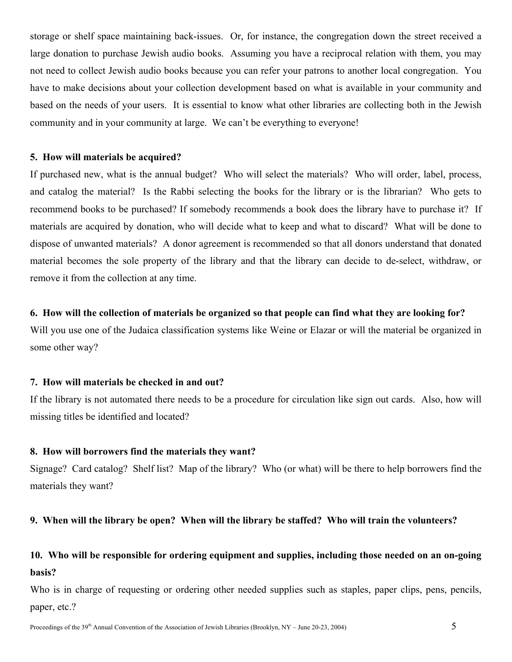storage or shelf space maintaining back-issues. Or, for instance, the congregation down the street received a large donation to purchase Jewish audio books. Assuming you have a reciprocal relation with them, you may not need to collect Jewish audio books because you can refer your patrons to another local congregation. You have to make decisions about your collection development based on what is available in your community and based on the needs of your users. It is essential to know what other libraries are collecting both in the Jewish community and in your community at large. We can't be everything to everyone!

### **5. How will materials be acquired?**

If purchased new, what is the annual budget? Who will select the materials? Who will order, label, process, and catalog the material? Is the Rabbi selecting the books for the library or is the librarian? Who gets to recommend books to be purchased? If somebody recommends a book does the library have to purchase it? If materials are acquired by donation, who will decide what to keep and what to discard? What will be done to dispose of unwanted materials? A donor agreement is recommended so that all donors understand that donated material becomes the sole property of the library and that the library can decide to de-select, withdraw, or remove it from the collection at any time.

### **6. How will the collection of materials be organized so that people can find what they are looking for?**

Will you use one of the Judaica classification systems like Weine or Elazar or will the material be organized in some other way?

### **7. How will materials be checked in and out?**

If the library is not automated there needs to be a procedure for circulation like sign out cards. Also, how will missing titles be identified and located?

### **8. How will borrowers find the materials they want?**

Signage? Card catalog? Shelf list? Map of the library? Who (or what) will be there to help borrowers find the materials they want?

### **9. When will the library be open? When will the library be staffed? Who will train the volunteers?**

## **10. Who will be responsible for ordering equipment and supplies, including those needed on an on-going basis?**

Who is in charge of requesting or ordering other needed supplies such as staples, paper clips, pens, pencils, paper, etc.?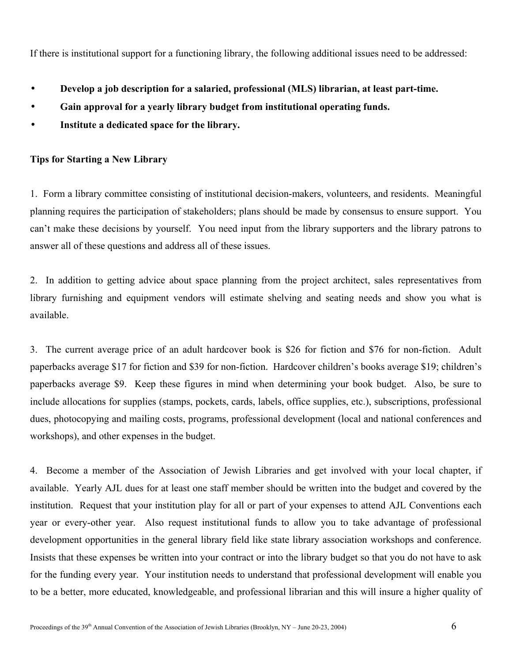If there is institutional support for a functioning library, the following additional issues need to be addressed:

- **Develop a job description for a salaried, professional (MLS) librarian, at least part-time.**
- **Gain approval for a yearly library budget from institutional operating funds.**
- **Institute a dedicated space for the library.**

### **Tips for Starting a New Library**

1. Form a library committee consisting of institutional decision-makers, volunteers, and residents. Meaningful planning requires the participation of stakeholders; plans should be made by consensus to ensure support. You can't make these decisions by yourself. You need input from the library supporters and the library patrons to answer all of these questions and address all of these issues.

2. In addition to getting advice about space planning from the project architect, sales representatives from library furnishing and equipment vendors will estimate shelving and seating needs and show you what is available.

3. The current average price of an adult hardcover book is \$26 for fiction and \$76 for non-fiction. Adult paperbacks average \$17 for fiction and \$39 for non-fiction. Hardcover children's books average \$19; children's paperbacks average \$9. Keep these figures in mind when determining your book budget. Also, be sure to include allocations for supplies (stamps, pockets, cards, labels, office supplies, etc.), subscriptions, professional dues, photocopying and mailing costs, programs, professional development (local and national conferences and workshops), and other expenses in the budget.

4. Become a member of the Association of Jewish Libraries and get involved with your local chapter, if available. Yearly AJL dues for at least one staff member should be written into the budget and covered by the institution. Request that your institution play for all or part of your expenses to attend AJL Conventions each year or every-other year. Also request institutional funds to allow you to take advantage of professional development opportunities in the general library field like state library association workshops and conference. Insists that these expenses be written into your contract or into the library budget so that you do not have to ask for the funding every year. Your institution needs to understand that professional development will enable you to be a better, more educated, knowledgeable, and professional librarian and this will insure a higher quality of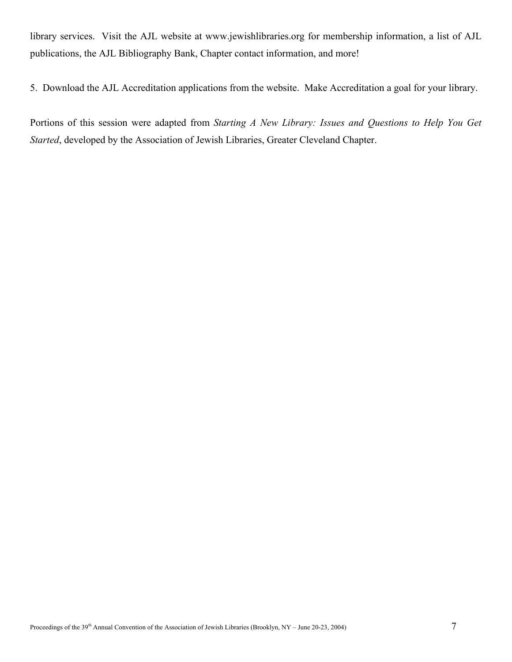library services. Visit the AJL website at www.jewishlibraries.org for membership information, a list of AJL publications, the AJL Bibliography Bank, Chapter contact information, and more!

5. Download the AJL Accreditation applications from the website. Make Accreditation a goal for your library.

Portions of this session were adapted from *Starting A New Library: Issues and Questions to Help You Get Started*, developed by the Association of Jewish Libraries, Greater Cleveland Chapter.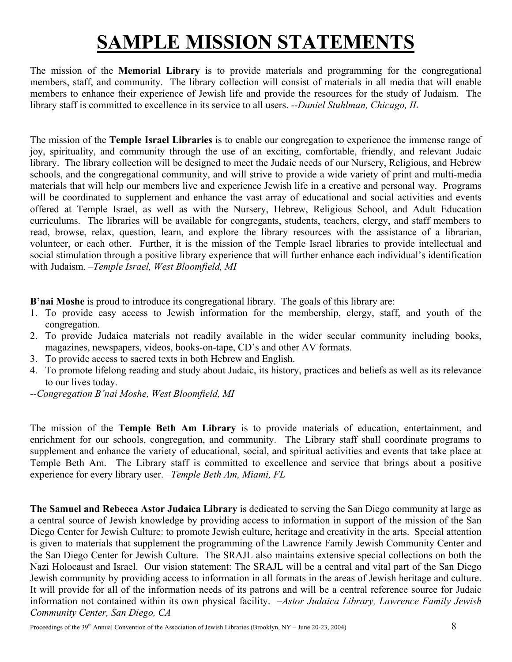# **SAMPLE MISSION STATEMENTS**

The mission of the **Memorial Library** is to provide materials and programming for the congregational members, staff, and community. The library collection will consist of materials in all media that will enable members to enhance their experience of Jewish life and provide the resources for the study of Judaism. The library staff is committed to excellence in its service to all users. *--Daniel Stuhlman, Chicago, IL*

The mission of the **Temple Israel Libraries** is to enable our congregation to experience the immense range of joy, spirituality, and community through the use of an exciting, comfortable, friendly, and relevant Judaic library. The library collection will be designed to meet the Judaic needs of our Nursery, Religious, and Hebrew schools, and the congregational community, and will strive to provide a wide variety of print and multi-media materials that will help our members live and experience Jewish life in a creative and personal way. Programs will be coordinated to supplement and enhance the vast array of educational and social activities and events offered at Temple Israel, as well as with the Nursery, Hebrew, Religious School, and Adult Education curriculums. The libraries will be available for congregants, students, teachers, clergy, and staff members to read, browse, relax, question, learn, and explore the library resources with the assistance of a librarian, volunteer, or each other. Further, it is the mission of the Temple Israel libraries to provide intellectual and social stimulation through a positive library experience that will further enhance each individual's identification with Judaism. *–Temple Israel, West Bloomfield, MI*

**B'nai Moshe** is proud to introduce its congregational library. The goals of this library are:

- 1. To provide easy access to Jewish information for the membership, clergy, staff, and youth of the congregation.
- 2. To provide Judaica materials not readily available in the wider secular community including books, magazines, newspapers, videos, books-on-tape, CD's and other AV formats.
- 3. To provide access to sacred texts in both Hebrew and English.
- 4. To promote lifelong reading and study about Judaic, its history, practices and beliefs as well as its relevance to our lives today.
- *--Congregation B'nai Moshe, West Bloomfield, MI*

The mission of the **Temple Beth Am Library** is to provide materials of education, entertainment, and enrichment for our schools, congregation, and community. The Library staff shall coordinate programs to supplement and enhance the variety of educational, social, and spiritual activities and events that take place at Temple Beth Am. The Library staff is committed to excellence and service that brings about a positive experience for every library user. *–Temple Beth Am, Miami, FL* 

**The Samuel and Rebecca Astor Judaica Library** is dedicated to serving the San Diego community at large as a central source of Jewish knowledge by providing access to information in support of the mission of the San Diego Center for Jewish Culture: to promote Jewish culture, heritage and creativity in the arts. Special attention is given to materials that supplement the programming of the Lawrence Family Jewish Community Center and the San Diego Center for Jewish Culture. The SRAJL also maintains extensive special collections on both the Nazi Holocaust and Israel. Our vision statement: The SRAJL will be a central and vital part of the San Diego Jewish community by providing access to information in all formats in the areas of Jewish heritage and culture. It will provide for all of the information needs of its patrons and will be a central reference source for Judaic information not contained within its own physical facility. *–Astor Judaica Library, Lawrence Family Jewish Community Center, San Diego, CA*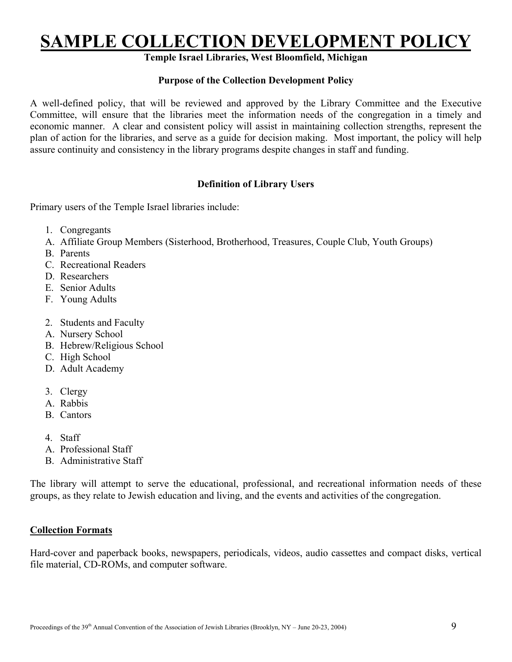## **SAMPLE COLLECTION DEVELOPMENT POLICY**

## **Temple Israel Libraries, West Bloomfield, Michigan**

### **Purpose of the Collection Development Policy**

A well-defined policy, that will be reviewed and approved by the Library Committee and the Executive Committee, will ensure that the libraries meet the information needs of the congregation in a timely and economic manner. A clear and consistent policy will assist in maintaining collection strengths, represent the plan of action for the libraries, and serve as a guide for decision making. Most important, the policy will help assure continuity and consistency in the library programs despite changes in staff and funding.

### **Definition of Library Users**

Primary users of the Temple Israel libraries include:

- 1. Congregants
- A. Affiliate Group Members (Sisterhood, Brotherhood, Treasures, Couple Club, Youth Groups)
- B. Parents
- C. Recreational Readers
- D. Researchers
- E. Senior Adults
- F. Young Adults
- 2. Students and Faculty
- A. Nursery School
- B. Hebrew/Religious School
- C. High School
- D. Adult Academy
- 3. Clergy
- A. Rabbis
- B. Cantors
- 4. Staff
- A. Professional Staff
- B. Administrative Staff

The library will attempt to serve the educational, professional, and recreational information needs of these groups, as they relate to Jewish education and living, and the events and activities of the congregation.

### **Collection Formats**

Hard-cover and paperback books, newspapers, periodicals, videos, audio cassettes and compact disks, vertical file material, CD-ROMs, and computer software.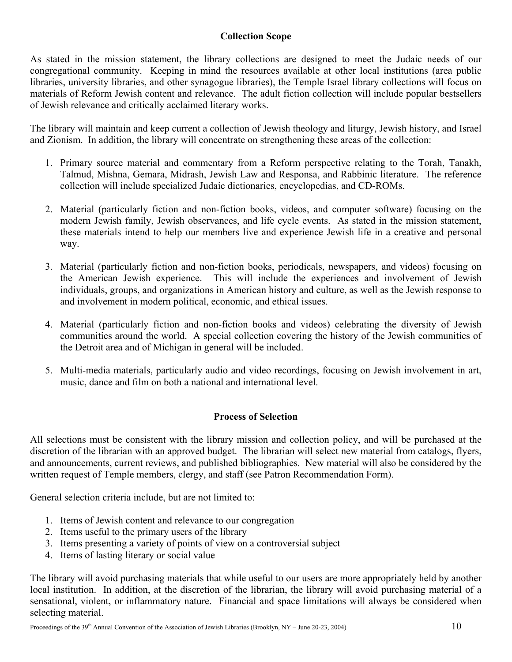### **Collection Scope**

As stated in the mission statement, the library collections are designed to meet the Judaic needs of our congregational community. Keeping in mind the resources available at other local institutions (area public libraries, university libraries, and other synagogue libraries), the Temple Israel library collections will focus on materials of Reform Jewish content and relevance. The adult fiction collection will include popular bestsellers of Jewish relevance and critically acclaimed literary works.

The library will maintain and keep current a collection of Jewish theology and liturgy, Jewish history, and Israel and Zionism. In addition, the library will concentrate on strengthening these areas of the collection:

- 1. Primary source material and commentary from a Reform perspective relating to the Torah, Tanakh, Talmud, Mishna, Gemara, Midrash, Jewish Law and Responsa, and Rabbinic literature. The reference collection will include specialized Judaic dictionaries, encyclopedias, and CD-ROMs.
- 2. Material (particularly fiction and non-fiction books, videos, and computer software) focusing on the modern Jewish family, Jewish observances, and life cycle events. As stated in the mission statement, these materials intend to help our members live and experience Jewish life in a creative and personal way.
- 3. Material (particularly fiction and non-fiction books, periodicals, newspapers, and videos) focusing on the American Jewish experience. This will include the experiences and involvement of Jewish individuals, groups, and organizations in American history and culture, as well as the Jewish response to and involvement in modern political, economic, and ethical issues.
- 4. Material (particularly fiction and non-fiction books and videos) celebrating the diversity of Jewish communities around the world. A special collection covering the history of the Jewish communities of the Detroit area and of Michigan in general will be included.
- 5. Multi-media materials, particularly audio and video recordings, focusing on Jewish involvement in art, music, dance and film on both a national and international level.

### **Process of Selection**

All selections must be consistent with the library mission and collection policy, and will be purchased at the discretion of the librarian with an approved budget. The librarian will select new material from catalogs, flyers, and announcements, current reviews, and published bibliographies. New material will also be considered by the written request of Temple members, clergy, and staff (see Patron Recommendation Form).

General selection criteria include, but are not limited to:

- 1. Items of Jewish content and relevance to our congregation
- 2. Items useful to the primary users of the library
- 3. Items presenting a variety of points of view on a controversial subject
- 4. Items of lasting literary or social value

The library will avoid purchasing materials that while useful to our users are more appropriately held by another local institution. In addition, at the discretion of the librarian, the library will avoid purchasing material of a sensational, violent, or inflammatory nature. Financial and space limitations will always be considered when selecting material.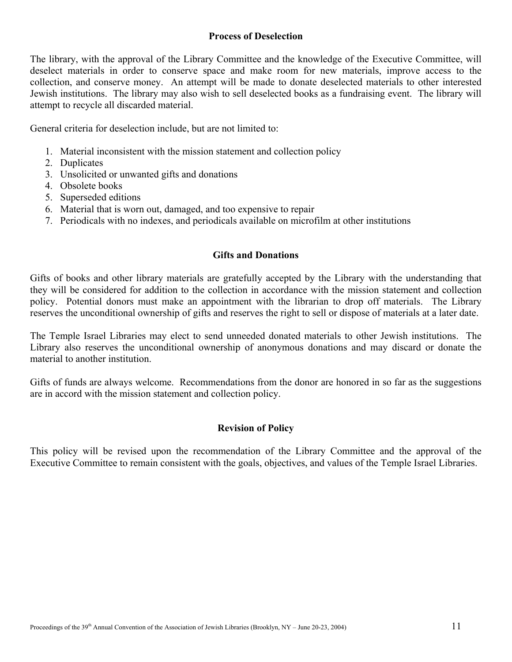### **Process of Deselection**

The library, with the approval of the Library Committee and the knowledge of the Executive Committee, will deselect materials in order to conserve space and make room for new materials, improve access to the collection, and conserve money. An attempt will be made to donate deselected materials to other interested Jewish institutions. The library may also wish to sell deselected books as a fundraising event. The library will attempt to recycle all discarded material.

General criteria for deselection include, but are not limited to:

- 1. Material inconsistent with the mission statement and collection policy
- 2. Duplicates
- 3. Unsolicited or unwanted gifts and donations
- 4. Obsolete books
- 5. Superseded editions
- 6. Material that is worn out, damaged, and too expensive to repair
- 7. Periodicals with no indexes, and periodicals available on microfilm at other institutions

### **Gifts and Donations**

Gifts of books and other library materials are gratefully accepted by the Library with the understanding that they will be considered for addition to the collection in accordance with the mission statement and collection policy. Potential donors must make an appointment with the librarian to drop off materials. The Library reserves the unconditional ownership of gifts and reserves the right to sell or dispose of materials at a later date.

The Temple Israel Libraries may elect to send unneeded donated materials to other Jewish institutions. The Library also reserves the unconditional ownership of anonymous donations and may discard or donate the material to another institution.

Gifts of funds are always welcome. Recommendations from the donor are honored in so far as the suggestions are in accord with the mission statement and collection policy.

### **Revision of Policy**

This policy will be revised upon the recommendation of the Library Committee and the approval of the Executive Committee to remain consistent with the goals, objectives, and values of the Temple Israel Libraries.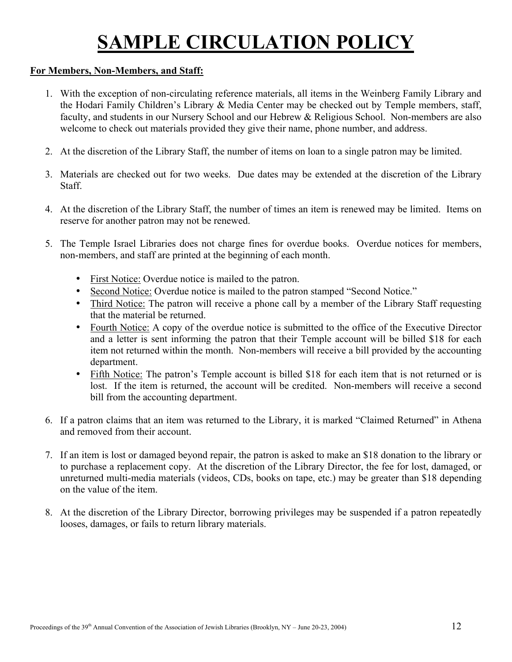# **SAMPLE CIRCULATION POLICY**

### **For Members, Non-Members, and Staff:**

- 1. With the exception of non-circulating reference materials, all items in the Weinberg Family Library and the Hodari Family Children's Library & Media Center may be checked out by Temple members, staff, faculty, and students in our Nursery School and our Hebrew & Religious School. Non-members are also welcome to check out materials provided they give their name, phone number, and address.
- 2. At the discretion of the Library Staff, the number of items on loan to a single patron may be limited.
- 3. Materials are checked out for two weeks. Due dates may be extended at the discretion of the Library Staff.
- 4. At the discretion of the Library Staff, the number of times an item is renewed may be limited. Items on reserve for another patron may not be renewed.
- 5. The Temple Israel Libraries does not charge fines for overdue books. Overdue notices for members, non-members, and staff are printed at the beginning of each month.
	- First Notice: Overdue notice is mailed to the patron.
	- Second Notice: Overdue notice is mailed to the patron stamped "Second Notice."
	- Third Notice: The patron will receive a phone call by a member of the Library Staff requesting that the material be returned.
	- Fourth Notice: A copy of the overdue notice is submitted to the office of the Executive Director and a letter is sent informing the patron that their Temple account will be billed \$18 for each item not returned within the month. Non-members will receive a bill provided by the accounting department.
	- Fifth Notice: The patron's Temple account is billed \$18 for each item that is not returned or is lost. If the item is returned, the account will be credited. Non-members will receive a second bill from the accounting department.
- 6. If a patron claims that an item was returned to the Library, it is marked "Claimed Returned" in Athena and removed from their account.
- 7. If an item is lost or damaged beyond repair, the patron is asked to make an \$18 donation to the library or to purchase a replacement copy. At the discretion of the Library Director, the fee for lost, damaged, or unreturned multi-media materials (videos, CDs, books on tape, etc.) may be greater than \$18 depending on the value of the item.
- 8. At the discretion of the Library Director, borrowing privileges may be suspended if a patron repeatedly looses, damages, or fails to return library materials.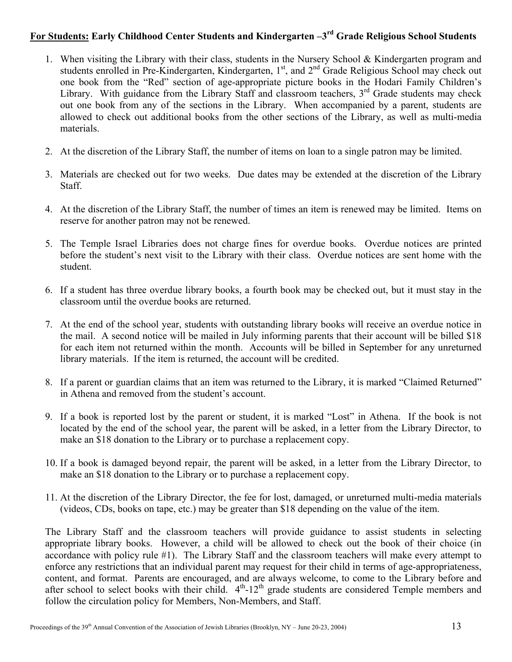### **For Students: Early Childhood Center Students and Kindergarten –3rd Grade Religious School Students**

- 1. When visiting the Library with their class, students in the Nursery School & Kindergarten program and students enrolled in Pre-Kindergarten, Kindergarten, 1<sup>st</sup>, and 2<sup>nd</sup> Grade Religious School may check out one book from the "Red" section of age-appropriate picture books in the Hodari Family Children's Library. With guidance from the Library Staff and classroom teachers,  $3<sup>rd</sup>$  Grade students may check out one book from any of the sections in the Library. When accompanied by a parent, students are allowed to check out additional books from the other sections of the Library, as well as multi-media materials.
- 2. At the discretion of the Library Staff, the number of items on loan to a single patron may be limited.
- 3. Materials are checked out for two weeks. Due dates may be extended at the discretion of the Library Staff.
- 4. At the discretion of the Library Staff, the number of times an item is renewed may be limited. Items on reserve for another patron may not be renewed.
- 5. The Temple Israel Libraries does not charge fines for overdue books. Overdue notices are printed before the student's next visit to the Library with their class. Overdue notices are sent home with the student.
- 6. If a student has three overdue library books, a fourth book may be checked out, but it must stay in the classroom until the overdue books are returned.
- 7. At the end of the school year, students with outstanding library books will receive an overdue notice in the mail. A second notice will be mailed in July informing parents that their account will be billed \$18 for each item not returned within the month. Accounts will be billed in September for any unreturned library materials. If the item is returned, the account will be credited.
- 8. If a parent or guardian claims that an item was returned to the Library, it is marked "Claimed Returned" in Athena and removed from the student's account.
- 9. If a book is reported lost by the parent or student, it is marked "Lost" in Athena. If the book is not located by the end of the school year, the parent will be asked, in a letter from the Library Director, to make an \$18 donation to the Library or to purchase a replacement copy.
- 10. If a book is damaged beyond repair, the parent will be asked, in a letter from the Library Director, to make an \$18 donation to the Library or to purchase a replacement copy.
- 11. At the discretion of the Library Director, the fee for lost, damaged, or unreturned multi-media materials (videos, CDs, books on tape, etc.) may be greater than \$18 depending on the value of the item.

The Library Staff and the classroom teachers will provide guidance to assist students in selecting appropriate library books. However, a child will be allowed to check out the book of their choice (in accordance with policy rule #1). The Library Staff and the classroom teachers will make every attempt to enforce any restrictions that an individual parent may request for their child in terms of age-appropriateness, content, and format. Parents are encouraged, and are always welcome, to come to the Library before and after school to select books with their child.  $4<sup>th</sup>$ -12<sup>th</sup> grade students are considered Temple members and follow the circulation policy for Members, Non-Members, and Staff.